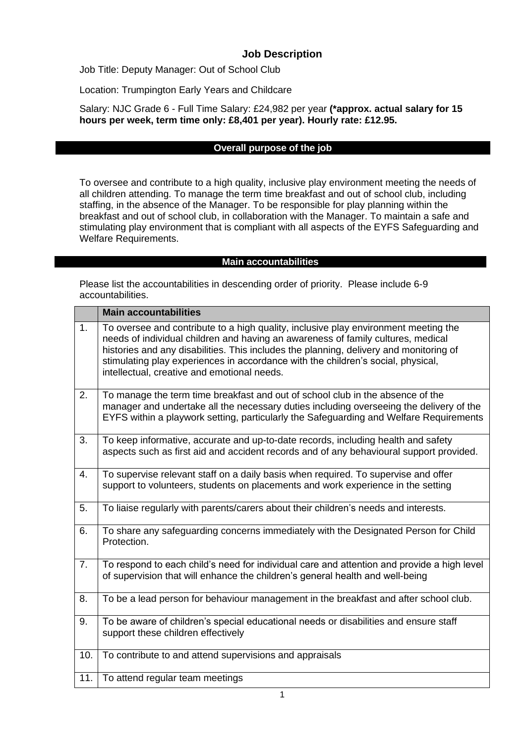## **Job Description**

Job Title: Deputy Manager: Out of School Club

Location: Trumpington Early Years and Childcare

Salary: NJC Grade 6 - Full Time Salary: £24,982 per year **(\*approx. actual salary for 15 hours per week, term time only: £8,401 per year). Hourly rate: £12.95.**

### **Overall purpose of the job**

To oversee and contribute to a high quality, inclusive play environment meeting the needs of all children attending. To manage the term time breakfast and out of school club, including staffing, in the absence of the Manager. To be responsible for play planning within the breakfast and out of school club, in collaboration with the Manager. To maintain a safe and stimulating play environment that is compliant with all aspects of the EYFS Safeguarding and Welfare Requirements.

#### **Main accountabilities**

Please list the accountabilities in descending order of priority. Please include 6-9 accountabilities.

|     | <b>Main accountabilities</b>                                                                                                                                                                                                                                                                                                                                                                         |
|-----|------------------------------------------------------------------------------------------------------------------------------------------------------------------------------------------------------------------------------------------------------------------------------------------------------------------------------------------------------------------------------------------------------|
| 1.  | To oversee and contribute to a high quality, inclusive play environment meeting the<br>needs of individual children and having an awareness of family cultures, medical<br>histories and any disabilities. This includes the planning, delivery and monitoring of<br>stimulating play experiences in accordance with the children's social, physical,<br>intellectual, creative and emotional needs. |
| 2.  | To manage the term time breakfast and out of school club in the absence of the<br>manager and undertake all the necessary duties including overseeing the delivery of the<br>EYFS within a playwork setting, particularly the Safeguarding and Welfare Requirements                                                                                                                                  |
| 3.  | To keep informative, accurate and up-to-date records, including health and safety<br>aspects such as first aid and accident records and of any behavioural support provided.                                                                                                                                                                                                                         |
| 4.  | To supervise relevant staff on a daily basis when required. To supervise and offer<br>support to volunteers, students on placements and work experience in the setting                                                                                                                                                                                                                               |
| 5.  | To liaise regularly with parents/carers about their children's needs and interests.                                                                                                                                                                                                                                                                                                                  |
| 6.  | To share any safeguarding concerns immediately with the Designated Person for Child<br>Protection.                                                                                                                                                                                                                                                                                                   |
| 7.  | To respond to each child's need for individual care and attention and provide a high level<br>of supervision that will enhance the children's general health and well-being                                                                                                                                                                                                                          |
| 8.  | To be a lead person for behaviour management in the breakfast and after school club.                                                                                                                                                                                                                                                                                                                 |
| 9.  | To be aware of children's special educational needs or disabilities and ensure staff<br>support these children effectively                                                                                                                                                                                                                                                                           |
| 10. | To contribute to and attend supervisions and appraisals                                                                                                                                                                                                                                                                                                                                              |
| 11. | To attend regular team meetings                                                                                                                                                                                                                                                                                                                                                                      |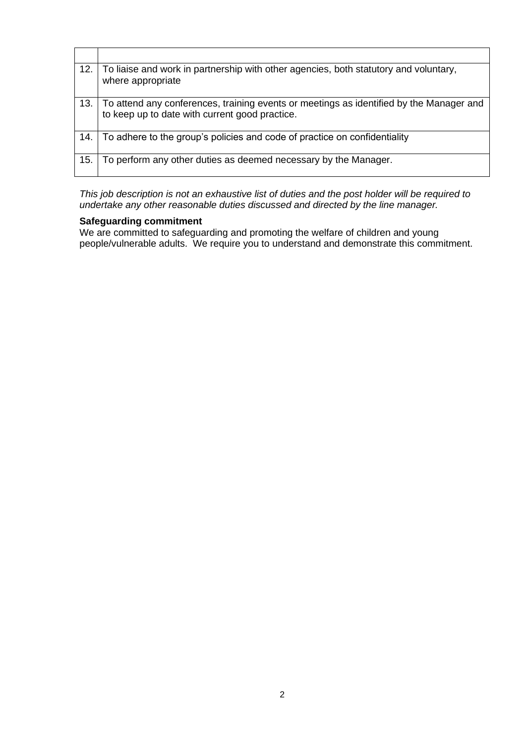| 12. | To liaise and work in partnership with other agencies, both statutory and voluntary,<br>where appropriate                                 |
|-----|-------------------------------------------------------------------------------------------------------------------------------------------|
| 13. | To attend any conferences, training events or meetings as identified by the Manager and<br>to keep up to date with current good practice. |
| 14. | To adhere to the group's policies and code of practice on confidentiality                                                                 |
| 15. | To perform any other duties as deemed necessary by the Manager.                                                                           |

*This job description is not an exhaustive list of duties and the post holder will be required to undertake any other reasonable duties discussed and directed by the line manager.*

#### **Safeguarding commitment**

We are committed to safeguarding and promoting the welfare of children and young people/vulnerable adults. We require you to understand and demonstrate this commitment.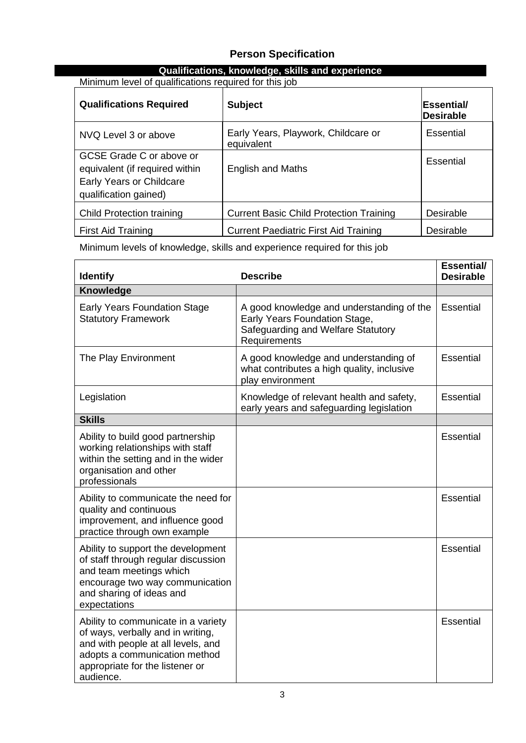## **Person Specification**

### **Qualifications, knowledge, skills and experience**

Minimum level of qualifications required for this job

| <b>Qualifications Required</b>                                                                                  | <b>Subject</b>                                    | <b> Essential/</b><br><b>Desirable</b> |
|-----------------------------------------------------------------------------------------------------------------|---------------------------------------------------|----------------------------------------|
| NVQ Level 3 or above                                                                                            | Early Years, Playwork, Childcare or<br>equivalent | Essential                              |
| GCSE Grade C or above or<br>equivalent (if required within<br>Early Years or Childcare<br>qualification gained) | <b>English and Maths</b>                          | Essential                              |
| <b>Child Protection training</b>                                                                                | <b>Current Basic Child Protection Training</b>    | Desirable                              |
| <b>First Aid Training</b>                                                                                       | <b>Current Paediatric First Aid Training</b>      | Desirable                              |

Minimum levels of knowledge, skills and experience required for this job

| <b>Identify</b>                                                                                                                                                                                 | <b>Describe</b>                                                                                                                  | Essential/<br><b>Desirable</b> |
|-------------------------------------------------------------------------------------------------------------------------------------------------------------------------------------------------|----------------------------------------------------------------------------------------------------------------------------------|--------------------------------|
| Knowledge                                                                                                                                                                                       |                                                                                                                                  |                                |
| <b>Early Years Foundation Stage</b><br><b>Statutory Framework</b>                                                                                                                               | A good knowledge and understanding of the<br>Early Years Foundation Stage,<br>Safeguarding and Welfare Statutory<br>Requirements | Essential                      |
| The Play Environment                                                                                                                                                                            | A good knowledge and understanding of<br>what contributes a high quality, inclusive<br>play environment                          | Essential                      |
| Legislation                                                                                                                                                                                     | Knowledge of relevant health and safety,<br>early years and safeguarding legislation                                             | Essential                      |
| <b>Skills</b>                                                                                                                                                                                   |                                                                                                                                  |                                |
| Ability to build good partnership<br>working relationships with staff<br>within the setting and in the wider<br>organisation and other<br>professionals                                         |                                                                                                                                  | Essential                      |
| Ability to communicate the need for<br>quality and continuous<br>improvement, and influence good<br>practice through own example                                                                |                                                                                                                                  | Essential                      |
| Ability to support the development<br>of staff through regular discussion<br>and team meetings which<br>encourage two way communication<br>and sharing of ideas and<br>expectations             |                                                                                                                                  | Essential                      |
| Ability to communicate in a variety<br>of ways, verbally and in writing,<br>and with people at all levels, and<br>adopts a communication method<br>appropriate for the listener or<br>audience. |                                                                                                                                  | Essential                      |